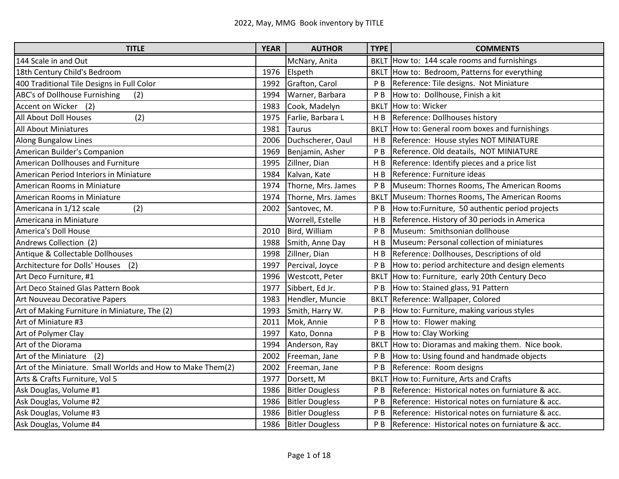| <b>TITLE</b>                                               | <b>YEAR</b> | <b>AUTHOR</b>          | <b>TYPE</b>    | <b>COMMENTS</b>                                  |
|------------------------------------------------------------|-------------|------------------------|----------------|--------------------------------------------------|
| 144 Scale in and Out                                       |             | McNary, Anita          |                | BKLT How to: 144 scale rooms and furnishings     |
| 18th Century Child's Bedroom                               | 1976        | Elspeth                |                | BKLT How to: Bedroom, Patterns for everything    |
| 400 Traditional Tile Designs in Full Color                 | 1992        | Grafton, Carol         | P <sub>B</sub> | Reference: Tile designs. Not Miniature           |
| ABC's of Dollhouse Furnishing<br>(2)                       | 1994        | Warner, Barbara        | P <sub>B</sub> | How to: Dollhouse, Finish a kit                  |
| Accent on Wicker<br>(2)                                    | 1983        | Cook, Madelyn          | <b>BKLT</b>    | How to: Wicker                                   |
| (2)<br>All About Doll Houses                               | 1975        | Farlie, Barbara L      | H B            | Reference: Dollhouses history                    |
| <b>All About Miniatures</b>                                | 1981        | <b>Taurus</b>          |                | BKLT How to: General room boxes and furnishings  |
| Along Bungalow Lines                                       | 2006        | Duchscherer, Oaul      | HB             | Reference: House styles NOT MINIATURE            |
| American Builder's Companion                               | 1969        | Benjamin, Asher        | P <sub>B</sub> | Reference. Old deatails, NOT MINIATURE           |
| American Dollhouses and Furniture                          | 1995        | Zillner, Dian          | H B            | Reference: Identify pieces and a price list      |
| American Period Interiors in Miniature                     | 1984        | Kalvan, Kate           | H <sub>B</sub> | Reference: Furniture ideas                       |
| American Rooms in Miniature                                | 1974        | Thorne, Mrs. James     | P <sub>B</sub> | Museum: Thornes Rooms, The American Rooms        |
| American Rooms in Miniature                                | 1974        | Thorne, Mrs. James     | <b>BKLT</b>    | Museum: Thornes Rooms, The American Rooms        |
| (2)<br>Americana in 1/12 scale                             | 2002        | Santovec, M.           | P <sub>B</sub> | How to: Furniture, 50 authentic period projects  |
| Americana in Miniature                                     |             | Worrell, Estelle       | H B            | Reference. History of 30 periods in America      |
| America's Doll House                                       | 2010        | Bird, William          | P <sub>B</sub> | Museum: Smithsonian dollhouse                    |
| Andrews Collection (2)                                     | 1988        | Smith, Anne Day        | H B            | Museum: Personal collection of miniatures        |
| Antique & Collectable Dollhouses                           | 1998        | Zillner, Dian          | H <sub>B</sub> | Reference: Dollhouses, Descriptions of old       |
| Architecture for Dolls' Houses (2)                         | 1997        | Percival, Joyce        | P <sub>B</sub> | How to: period architecture and design elements  |
| Art Deco Furniture, #1                                     | 1996        | <b>Westcott, Peter</b> | <b>BKLT</b>    | How to: Furniture, early 20th Century Deco       |
| Art Deco Stained Glas Pattern Book                         | 1977        | Sibbert, Ed Jr.        | P <sub>B</sub> | How to: Stained glass, 91 Pattern                |
| Art Nouveau Decorative Papers                              | 1983        | Hendler, Muncie        | <b>BKLT</b>    | Reference: Wallpaper, Colored                    |
| Art of Making Furniture in Miniature, The (2)              | 1993        | Smith, Harry W.        | P <sub>B</sub> | How to: Furniture, making various styles         |
| Art of Miniature #3                                        | 2011        | Mok, Annie             | P B            | How to: Flower making                            |
| Art of Polymer Clay                                        | 1997        | Kato, Donna            | P <sub>B</sub> | How to: Clay Working                             |
| Art of the Diorama                                         | 1994        | Anderson, Ray          | <b>BKLT</b>    | How to: Dioramas and making them. Nice book.     |
| Art of the Miniature<br>(2)                                | 2002        | Freeman, Jane          | P <sub>B</sub> | How to: Using found and handmade objects         |
| Art of the Miniature. Small Worlds and How to Make Them(2) | 2002        | Freeman, Jane          | P <sub>B</sub> | Reference: Room designs                          |
| Arts & Crafts Furniture, Vol 5                             | 1977        | Dorsett, M             |                | BKLT How to: Furniture, Arts and Crafts          |
| Ask Douglas, Volume #1                                     | 1986        | <b>Bitler Dougless</b> | P <sub>B</sub> | Reference: Historical notes on furniature & acc. |
| Ask Douglas, Volume #2                                     | 1986        | <b>Bitler Dougless</b> | P <sub>B</sub> | Reference: Historical notes on furniature & acc. |
| Ask Douglas, Volume #3                                     | 1986        | <b>Bitler Dougless</b> | P <sub>B</sub> | Reference: Historical notes on furniature & acc. |
| Ask Douglas, Volume #4                                     | 1986        | <b>Bitler Dougless</b> | PB             | Reference: Historical notes on furniature & acc. |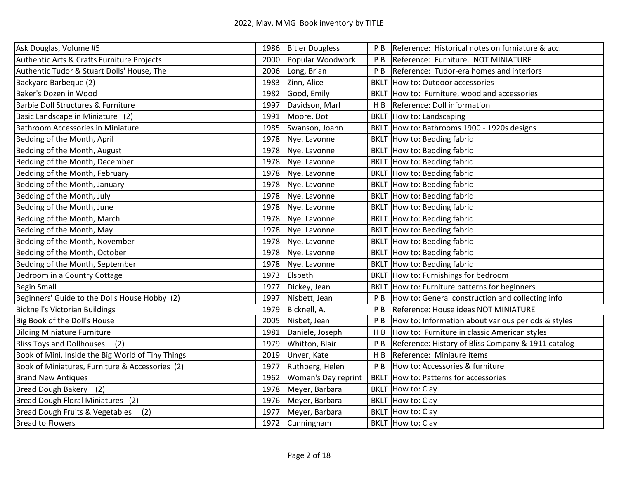| Ask Douglas, Volume #5                            | 1986 | <b>Bitler Dougless</b> | P B            | Reference: Historical notes on furniature & acc.   |
|---------------------------------------------------|------|------------------------|----------------|----------------------------------------------------|
| Authentic Arts & Crafts Furniture Projects        | 2000 | Popular Woodwork       | P <sub>B</sub> | Reference: Furniture. NOT MINIATURE                |
| Authentic Tudor & Stuart Dolls' House, The        | 2006 | Long, Brian            | P B            | Reference: Tudor-era homes and interiors           |
| Backyard Barbeque (2)                             | 1983 | Zinn, Alice            |                | BKLT How to: Outdoor accessories                   |
| Baker's Dozen in Wood                             | 1982 | Good, Emily            |                | BKLT How to: Furniture, wood and accessories       |
| Barbie Doll Structures & Furniture                | 1997 | Davidson, Marl         | H B            | Reference: Doll information                        |
| Basic Landscape in Miniature (2)                  | 1991 | Moore, Dot             | <b>BKLT</b>    | How to: Landscaping                                |
| <b>Bathroom Accessories in Miniature</b>          | 1985 | Swanson, Joann         |                | BKLT How to: Bathrooms 1900 - 1920s designs        |
| Bedding of the Month, April                       | 1978 | Nye. Lavonne           |                | BKLT How to: Bedding fabric                        |
| Bedding of the Month, August                      | 1978 | Nye. Lavonne           |                | BKLT How to: Bedding fabric                        |
| Bedding of the Month, December                    | 1978 | Nye. Lavonne           |                | BKLT How to: Bedding fabric                        |
| Bedding of the Month, February                    | 1978 | Nye. Lavonne           |                | BKLT How to: Bedding fabric                        |
| Bedding of the Month, January                     | 1978 | Nye. Lavonne           |                | BKLT How to: Bedding fabric                        |
| Bedding of the Month, July                        | 1978 | Nye. Lavonne           |                | BKLT How to: Bedding fabric                        |
| Bedding of the Month, June                        | 1978 | Nye. Lavonne           |                | BKLT How to: Bedding fabric                        |
| Bedding of the Month, March                       | 1978 | Nye. Lavonne           |                | BKLT How to: Bedding fabric                        |
| Bedding of the Month, May                         | 1978 | Nye. Lavonne           | <b>BKLT</b>    | How to: Bedding fabric                             |
| Bedding of the Month, November                    | 1978 | Nye. Lavonne           |                | <b>BKLT How to: Bedding fabric</b>                 |
| Bedding of the Month, October                     | 1978 | Nye. Lavonne           |                | BKLT How to: Bedding fabric                        |
| Bedding of the Month, September                   | 1978 | Nye. Lavonne           |                | BKLT How to: Bedding fabric                        |
| Bedroom in a Country Cottage                      | 1973 | Elspeth                |                | BKLT How to: Furnishings for bedroom               |
| <b>Begin Small</b>                                | 1977 | Dickey, Jean           | <b>BKLT</b>    | How to: Furniture patterns for beginners           |
| Beginners' Guide to the Dolls House Hobby (2)     | 1997 | Nisbett, Jean          | P <sub>B</sub> | How to: General construction and collecting info   |
| <b>Bicknell's Victorian Buildings</b>             | 1979 | Bicknell, A.           | P <sub>B</sub> | Reference: House ideas NOT MINIATURE               |
| Big Book of the Doll's House                      | 2005 | Nisbet, Jean           | P <sub>B</sub> | How to: Information about various periods & styles |
| <b>Bilding Miniature Furniture</b>                | 1981 | Daniele, Joseph        | H <sub>B</sub> | How to: Furniture in classic American styles       |
| (2)<br><b>Bliss Toys and Dollhouses</b>           | 1979 | Whitton, Blair         | P <sub>B</sub> | Reference: History of Bliss Company & 1911 catalog |
| Book of Mini, Inside the Big World of Tiny Things | 2019 | Unver, Kate            | H B            | Reference: Miniaure items                          |
| Book of Miniatures, Furniture & Accessories (2)   | 1977 | Ruthberg, Helen        | P <sub>B</sub> | How to: Accessories & furniture                    |
| <b>Brand New Antiques</b>                         | 1962 | Woman's Day reprint    |                | BKLT How to: Patterns for accessories              |
| Bread Dough Bakery (2)                            | 1978 | Meyer, Barbara         |                | BKLT How to: Clay                                  |
| Bread Dough Floral Miniatures (2)                 | 1976 | Meyer, Barbara         | <b>BKLT</b>    | How to: Clay                                       |
| Bread Dough Fruits & Vegetables<br>(2)            | 1977 | Meyer, Barbara         | <b>BKLT</b>    | How to: Clay                                       |
| <b>Bread to Flowers</b>                           |      | 1972 Cunningham        |                | BKLT How to: Clay                                  |
|                                                   |      |                        |                |                                                    |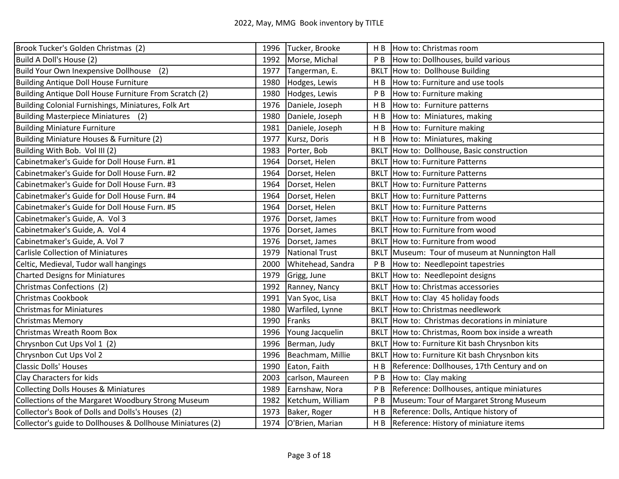| Brook Tucker's Golden Christmas (2)                        | 1996 | Tucker, Brooke        | H B            | How to: Christmas room                           |
|------------------------------------------------------------|------|-----------------------|----------------|--------------------------------------------------|
| Build A Doll's House (2)                                   | 1992 | Morse, Michal         | P <sub>B</sub> | How to: Dollhouses, build various                |
| Build Your Own Inexpensive Dollhouse<br>(2)                | 1977 | Tangerman, E.         | <b>BKLT</b>    | How to: Dollhouse Building                       |
| Building Antique Doll House Furniture                      | 1980 | Hodges, Lewis         | H <sub>B</sub> | How to: Furniture and use tools                  |
| Building Antique Doll House Furniture From Scratch (2)     | 1980 | Hodges, Lewis         | P B            | How to: Furniture making                         |
| Building Colonial Furnishings, Miniatures, Folk Art        | 1976 | Daniele, Joseph       | H <sub>B</sub> | How to: Furniture patterns                       |
| Building Masterpiece Miniatures (2)                        | 1980 | Daniele, Joseph       | H <sub>B</sub> | How to: Miniatures, making                       |
| <b>Building Miniature Furniture</b>                        | 1981 | Daniele, Joseph       |                | H B How to: Furniture making                     |
| Building Miniature Houses & Furniture (2)                  | 1977 | Kursz, Doris          |                | H B  How to: Miniatures, making                  |
| Building With Bob. Vol III (2)                             | 1983 | Porter, Bob           |                | BKLT How to: Dollhouse, Basic construction       |
| Cabinetmaker's Guide for Doll House Furn. #1               | 1964 | Dorset, Helen         |                | <b>BKLT How to: Furniture Patterns</b>           |
| Cabinetmaker's Guide for Doll House Furn. #2               | 1964 | Dorset, Helen         |                | <b>BKLT</b> How to: Furniture Patterns           |
| Cabinetmaker's Guide for Doll House Furn. #3               | 1964 | Dorset, Helen         |                | <b>BKLT</b> How to: Furniture Patterns           |
| Cabinetmaker's Guide for Doll House Furn. #4               | 1964 | Dorset, Helen         |                | <b>BKLT</b> How to: Furniture Patterns           |
| Cabinetmaker's Guide for Doll House Furn. #5               | 1964 | Dorset, Helen         |                | <b>BKLT</b> How to: Furniture Patterns           |
| Cabinetmaker's Guide, A. Vol 3                             | 1976 | Dorset, James         |                | BKLT How to: Furniture from wood                 |
| Cabinetmaker's Guide, A. Vol 4                             | 1976 | Dorset, James         |                | BKLT How to: Furniture from wood                 |
| Cabinetmaker's Guide, A. Vol 7                             | 1976 | Dorset, James         |                | BKLT How to: Furniture from wood                 |
| <b>Carlisle Collection of Miniatures</b>                   | 1979 | <b>National Trust</b> |                | BKLT Museum: Tour of museum at Nunnington Hall   |
| Celtic, Medieval, Tudor wall hangings                      | 2000 | Whitehead, Sandra     |                | P B  How to: Needlepoint tapestries              |
| <b>Charted Designs for Miniatures</b>                      | 1979 | Grigg, June           |                | BKLT How to: Needlepoint designs                 |
| Christmas Confections (2)                                  | 1992 | Ranney, Nancy         |                | BKLT How to: Christmas accessories               |
| <b>Christmas Cookbook</b>                                  | 1991 | Van Syoc, Lisa        |                | BKLT How to: Clay 45 holiday foods               |
| <b>Christmas for Miniatures</b>                            | 1980 | Warfiled, Lynne       |                | <b>BKLT</b> How to: Christmas needlework         |
| <b>Christmas Memory</b>                                    | 1990 | Franks                |                | BKLT How to: Christmas decorations in miniature  |
| Christmas Wreath Room Box                                  | 1996 | Young Jacquelin       |                | BKLT How to: Christmas, Room box inside a wreath |
| Chrysnbon Cut Ups Vol 1 (2)                                | 1996 | Berman, Judy          | <b>BKLT</b>    | How to: Furniture Kit bash Chrysnbon kits        |
| Chrysnbon Cut Ups Vol 2                                    | 1996 | Beachmam, Millie      | <b>BKLT</b>    | How to: Furniture Kit bash Chrysnbon kits        |
| <b>Classic Dolls' Houses</b>                               | 1990 | Eaton, Faith          | H B            | Reference: Dollhouses, 17th Century and on       |
| Clay Characters for kids                                   | 2003 | carlson, Maureen      | P B            | How to: Clay making                              |
| <b>Collecting Dolls Houses &amp; Miniatures</b>            | 1989 | Earnshaw, Nora        | P B            | Reference: Dollhouses, antique miniatures        |
| Collections of the Margaret Woodbury Strong Museum         | 1982 | Ketchum, William      | P <sub>B</sub> | Museum: Tour of Margaret Strong Museum           |
| Collector's Book of Dolls and Dolls's Houses (2)           | 1973 | Baker, Roger          | H <sub>B</sub> | Reference: Dolls, Antique history of             |
| Collector's guide to Dollhouses & Dollhouse Miniatures (2) | 1974 | O'Brien, Marian       |                | H B   Reference: History of miniature items      |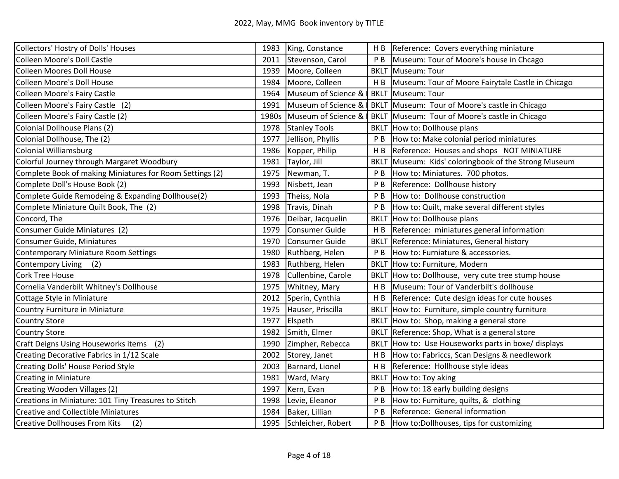| Collectors' Hostry of Dolls' Houses                      |       | 1983 King, Constance  | HB             | Reference: Covers everything miniature             |
|----------------------------------------------------------|-------|-----------------------|----------------|----------------------------------------------------|
| <b>Colleen Moore's Doll Castle</b>                       | 2011  | Stevenson, Carol      | P B            | Museum: Tour of Moore's house in Chcago            |
| <b>Colleen Moores Doll House</b>                         | 1939  | Moore, Colleen        | <b>BKLT</b>    | Museum: Tour                                       |
| <b>Colleen Moore's Doll House</b>                        | 1984  | Moore, Colleen        | H B            | Museum: Tour of Moore Fairytale Castle in Chicago  |
| <b>Colleen Moore's Fairy Castle</b>                      | 1964  | Museum of Science &   |                | <b>BKLT</b> Museum: Tour                           |
| Colleen Moore's Fairy Castle (2)                         | 1991  | Museum of Science &   |                | BKLT Museum: Tour of Moore's castle in Chicago     |
| Colleen Moore's Fairy Castle (2)                         | 1980s | Museum of Science &   | <b>BKLT</b>    | Museum: Tour of Moore's castle in Chicago          |
| Colonial Dollhouse Plans (2)                             | 1978  | <b>Stanley Tools</b>  | <b>BKLT</b>    | How to: Dollhouse plans                            |
| Colonial Dollhouse, The (2)                              | 1977  | Jellison, Phyllis     | P <sub>B</sub> | How to: Make colonial period miniatures            |
| <b>Colonial Williamsburg</b>                             | 1986  | Kopper, Philip        | H B            | Reference: Houses and shops NOT MINIATURE          |
| Colorful Journey through Margaret Woodbury               | 1981  | Taylor, Jill          | <b>BKLT</b>    | Museum: Kids' coloringbook of the Strong Museum    |
| Complete Book of making Miniatures for Room Settings (2) | 1975  | Newman, T.            | P <sub>B</sub> | How to: Miniatures. 700 photos.                    |
| Complete Doll's House Book (2)                           | 1993  | Nisbett, Jean         | P <sub>B</sub> | Reference: Dollhouse history                       |
| Complete Guide Remodeing & Expanding Dollhouse(2)        | 1993  | Theiss, Nola          | P <sub>B</sub> | How to: Dollhouse construction                     |
| Complete Miniature Quilt Book, The (2)                   | 1998  | Travis, Dinah         | P <sub>B</sub> | How to: Quilt, make several different styles       |
| Concord, The                                             | 1976  | Deibar, Jacquelin     | <b>BKLT</b>    | How to: Dollhouse plans                            |
| Consumer Guide Miniatures (2)                            | 1979  | <b>Consumer Guide</b> | H B            | Reference: miniatures general information          |
| Consumer Guide, Miniatures                               | 1970  | <b>Consumer Guide</b> | <b>BKLT</b>    | Reference: Miniatures, General history             |
| Contemporary Miniature Room Settings                     | 1980  | Ruthberg, Helen       | P <sub>B</sub> | How to: Furniature & accessories.                  |
| <b>Contempory Living</b><br>(2)                          | 1983  | Ruthberg, Helen       |                | BKLT How to: Furniture, Modern                     |
| <b>Cork Tree House</b>                                   | 1978  | Cullenbine, Carole    |                | BKLT How to: Dollhouse, very cute tree stump house |
| Cornelia Vanderbilt Whitney's Dollhouse                  | 1975  | Whitney, Mary         | H B            | Museum: Tour of Vanderbilt's dollhouse             |
| Cottage Style in Miniature                               | 2012  | Sperin, Cynthia       | H <sub>B</sub> | Reference: Cute design ideas for cute houses       |
| Country Furniture in Miniature                           | 1975  | Hauser, Priscilla     | <b>BKLT</b>    | How to: Furniture, simple country furniture        |
| <b>Country Store</b>                                     | 1977  | Elspeth               |                | BKLT How to: Shop, making a general store          |
| <b>Country Store</b>                                     | 1982  | Smith, Elmer          | <b>BKLT</b>    | Reference: Shop, What is a general store           |
| <b>Craft Deigns Using Houseworks items</b><br>(2)        | 1990  | Zimpher, Rebecca      | <b>BKLT</b>    | How to: Use Houseworks parts in boxe/ displays     |
| Creating Decorative Fabrics in 1/12 Scale                | 2002  | Storey, Janet         | H B            | How to: Fabriccs, Scan Designs & needlework        |
| Creating Dolls' House Period Style                       | 2003  | Barnard, Lionel       | H B            | Reference: Hollhouse style ideas                   |
| <b>Creating in Miniature</b>                             | 1981  | Ward, Mary            | <b>BKLT</b>    | How to: Toy aking                                  |
| Creating Wooden Villages (2)                             | 1997  | Kern, Evan            | P <sub>B</sub> | How to: 18 early building designs                  |
| Creations in Miniature: 101 Tiny Treasures to Stitch     | 1998  | Levie, Eleanor        | P <sub>B</sub> | How to: Furniture, quilts, & clothing              |
| <b>Creative and Collectible Miniatures</b>               | 1984  | Baker, Lillian        | P <sub>B</sub> | Reference: General information                     |
| <b>Creative Dollhouses From Kits</b><br>(2)              | 1995  | Schleicher, Robert    | P B            | How to: Dollhouses, tips for customizing           |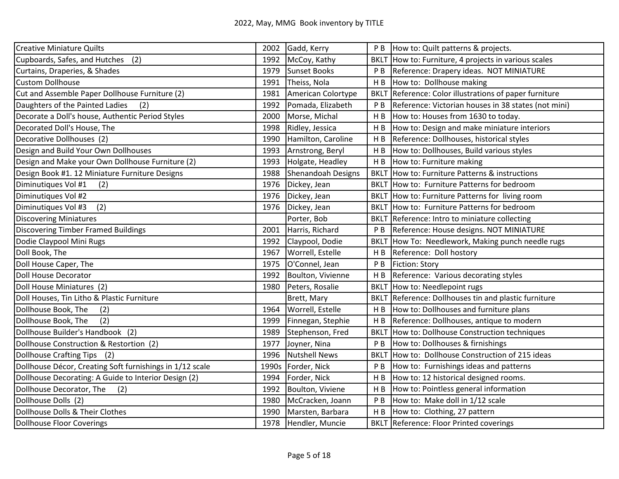| <b>Creative Miniature Quilts</b>                         | 2002  | Gadd, Kerry          | P B            | How to: Quilt patterns & projects.                     |
|----------------------------------------------------------|-------|----------------------|----------------|--------------------------------------------------------|
| Cupboards, Safes, and Hutches<br>(2)                     | 1992  | McCoy, Kathy         | <b>BKLT</b>    | How to: Furniture, 4 projects in various scales        |
| Curtains, Draperies, & Shades                            | 1979  | <b>Sunset Books</b>  | P B            | Reference: Drapery ideas. NOT MINIATURE                |
| <b>Custom Dollhouse</b>                                  | 1991  | Theiss, Nola         | H B            | How to: Dollhouse making                               |
| Cut and Assemble Paper Dollhouse Furniture (2)           | 1981  | American Colortype   |                | BKLT Reference: Color illustrations of paper furniture |
| Daughters of the Painted Ladies<br>(2)                   | 1992  | Pomada, Elizabeth    | P <sub>B</sub> | Reference: Victorian houses in 38 states (not mini)    |
| Decorate a Doll's house, Authentic Period Styles         | 2000  | Morse, Michal        | H B            | How to: Houses from 1630 to today.                     |
| Decorated Doll's House, The                              | 1998  | Ridley, Jessica      | H B            | How to: Design and make miniature interiors            |
| Decorative Dollhouses (2)                                | 1990  | Hamilton, Caroline   | H B            | Reference: Dollhouses, historical styles               |
| Design and Build Your Own Dollhouses                     | 1993  | Arnstrong, Beryl     | H B            | How to: Dollhouses, Build various styles               |
| Design and Make your Own Dollhouse Furniture (2)         | 1993  | Holgate, Headley     | H B            | How to: Furniture making                               |
| Design Book #1. 12 Miniature Furniture Designs           | 1988  | Shenandoah Designs   | <b>BKLT</b>    | How to: Furniture Patterns & instructions              |
| (2)<br>Diminutiques Vol #1                               | 1976  | Dickey, Jean         |                | BKLT How to: Furniture Patterns for bedroom            |
| Diminutiques Vol #2                                      | 1976  | Dickey, Jean         |                | BKLT How to: Furniture Patterns for living room        |
| Diminutiques Vol #3<br>(2)                               | 1976  | Dickey, Jean         |                | BKLT How to: Furniture Patterns for bedroom            |
| <b>Discovering Miniatures</b>                            |       | Porter, Bob          |                | BKLT Reference: Intro to miniature collecting          |
| <b>Discovering Timber Framed Buildings</b>               | 2001  | Harris, Richard      | P B            | Reference: House designs. NOT MINIATURE                |
| Dodie Claypool Mini Rugs                                 | 1992  | Claypool, Dodie      | <b>BKLT</b>    | How To: Needlework, Making punch needle rugs           |
| Doll Book, The                                           | 1967  | Worrell, Estelle     | H B            | Reference: Doll hostory                                |
| Doll House Caper, The                                    | 1975  | O'Connel, Jean       | P <sub>B</sub> | Fiction: Story                                         |
| <b>Doll House Decorator</b>                              | 1992  | Boulton, Vivienne    | H <sub>B</sub> | Reference: Various decorating styles                   |
| Doll House Miniatures (2)                                | 1980  | Peters, Rosalie      | <b>BKLT</b>    | How to: Needlepoint rugs                               |
| Doll Houses, Tin Litho & Plastic Furniture               |       | Brett, Mary          | <b>BKLT</b>    | Reference: Dollhouses tin and plastic furniture        |
| Dollhouse Book, The<br>(2)                               | 1964  | Worrell, Estelle     | H B            | How to: Dollhouses and furniture plans                 |
| (2)<br>Dollhouse Book, The                               | 1999  | Finnegan, Stephie    | H B            | Reference: Dollhouses, antique to modern               |
| Dollhouse Builder's Handbook (2)                         | 1989  | Stephenson, Fred     | <b>BKLT</b>    | How to: Dollhouse Construction techniques              |
| Dollhouse Construction & Restortion (2)                  | 1977  | Joyner, Nina         | P B            | How to: Dollhouses & firnishings                       |
| Dollhouse Crafting Tips (2)                              | 1996  | <b>Nutshell News</b> | <b>BKLT</b>    | How to: Dollhouse Construction of 215 ideas            |
| Dollhouse Décor, Creating Soft furnishings in 1/12 scale | 1990s | Forder, Nick         | P B            | How to: Furnishings ideas and patterns                 |
| Dollhouse Decorating: A Guide to Interior Design (2)     | 1994  | Forder, Nick         | H B            | How to: 12 historical designed rooms.                  |
| Dollhouse Decorator, The<br>(2)                          | 1992  | Boulton, Viviene     | H B            | How to: Pointless general information                  |
| Dollhouse Dolls (2)                                      | 1980  | McCracken, Joann     | P <sub>B</sub> | How to: Make doll in 1/12 scale                        |
| Dollhouse Dolls & Their Clothes                          | 1990  | Marsten, Barbara     | H B            | How to: Clothing, 27 pattern                           |
| <b>Dollhouse Floor Coverings</b>                         | 1978  | Hendler, Muncie      |                | BKLT Reference: Floor Printed coverings                |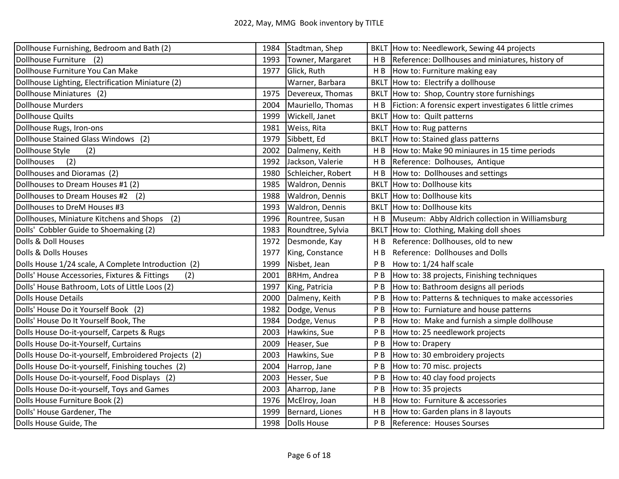| Dollhouse Furnishing, Bedroom and Bath (2)           | 1984 | Stadtman, Shep         |                | BKLT How to: Needlework, Sewing 44 projects             |
|------------------------------------------------------|------|------------------------|----------------|---------------------------------------------------------|
| Dollhouse Furniture (2)                              | 1993 | Towner, Margaret       | H <sub>B</sub> | Reference: Dollhouses and miniatures, history of        |
| Dollhouse Furniture You Can Make                     | 1977 | Glick, Ruth            | HB             | How to: Furniture making eay                            |
| Dollhouse Lighting, Electrification Miniature (2)    |      | Warner, Barbara        |                | BKLT How to: Electrify a dollhouse                      |
| Dollhouse Miniatures (2)                             | 1975 | Devereux, Thomas       |                | BKLT How to: Shop, Country store furnishings            |
| <b>Dollhouse Murders</b>                             | 2004 | Mauriello, Thomas      | H <sub>B</sub> | Fiction: A forensic expert investigates 6 little crimes |
| <b>Dollhouse Quilts</b>                              | 1999 | Wickell, Janet         | <b>BKLT</b>    | How to: Quilt patterns                                  |
| Dollhouse Rugs, Iron-ons                             | 1981 | Weiss, Rita            | <b>BKLT</b>    | How to: Rug patterns                                    |
| Dollhouse Stained Glass Windows (2)                  | 1979 | Sibbett, Ed            | <b>BKLT</b>    | How to: Stained glass patterns                          |
| Dollhouse Style<br>(2)                               | 2002 | Dalmeny, Keith         | HB             | How to: Make 90 miniaures in 15 time periods            |
| <b>Dollhouses</b><br>(2)                             | 1992 | Jackson, Valerie       | H <sub>B</sub> | Reference: Dolhouses, Antique                           |
| Dollhouses and Dioramas (2)                          | 1980 | Schleicher, Robert     | H B            | How to: Dollhouses and settings                         |
| Dollhouses to Dream Houses #1 (2)                    | 1985 | <b>Waldron, Dennis</b> | <b>BKLT</b>    | How to: Dollhouse kits                                  |
| Dollhouses to Dream Houses #2<br>(2)                 | 1988 | <b>Waldron, Dennis</b> |                | BKLT How to: Dollhouse kits                             |
| Dollhouses to DreM Houses #3                         | 1993 | Waldron, Dennis        |                | <b>BKLT How to: Dollhouse kits</b>                      |
| Dollhouses, Miniature Kitchens and Shops<br>(2)      | 1996 | Rountree, Susan        | H B            | Museum: Abby Aldrich collection in Williamsburg         |
| Dolls' Cobbler Guide to Shoemaking (2)               | 1983 | Roundtree, Sylvia      | <b>BKLT</b>    | How to: Clothing, Making doll shoes                     |
| Dolls & Doll Houses                                  | 1972 | Desmonde, Kay          | H B            | Reference: Dollhouses, old to new                       |
| Dolls & Dolls Houses                                 | 1977 | King, Constance        | H <sub>B</sub> | Reference: Dollhouses and Dolls                         |
| Dolls House 1/24 scale, A Complete Introduction (2)  | 1999 | Nisbet, Jean           | P B            | How to: 1/24 half scale                                 |
| Dolls' House Accessories, Fixtures & Fittings<br>(2) | 2001 | BRHm, Andrea           | P <sub>B</sub> | How to: 38 projects, Finishing techniques               |
| Dolls' House Bathroom, Lots of Little Loos (2)       | 1997 | King, Patricia         | P B            | How to: Bathroom designs all periods                    |
| <b>Dolls House Details</b>                           | 2000 | Dalmeny, Keith         | P B            | How to: Patterns & techniques to make accessories       |
| Dolls' House Do it Yourself Book (2)                 | 1982 | Dodge, Venus           | P B            | How to: Furniature and house patterns                   |
| Dolls' House Do It Yourself Book, The                | 1984 | Dodge, Venus           | P <sub>B</sub> | How to: Make and furnish a simple dollhouse             |
| Dolls House Do-it-yourself, Carpets & Rugs           | 2003 | Hawkins, Sue           | P <sub>B</sub> | How to: 25 needlework projects                          |
| Dolls House Do-it-Yourself, Curtains                 | 2009 | Heaser, Sue            | P <sub>B</sub> | How to: Drapery                                         |
| Dolls House Do-it-yourself, Embroidered Projects (2) | 2003 | Hawkins, Sue           | P B            | How to: 30 embroidery projects                          |
| Dolls House Do-it-yourself, Finishing touches (2)    | 2004 | Harrop, Jane           | P <sub>B</sub> | How to: 70 misc. projects                               |
| Dolls House Do-it-yourself, Food Displays (2)        | 2003 | Hesser, Sue            | P <sub>B</sub> | How to: 40 clay food projects                           |
| Dolls House Do-it-yourself, Toys and Games           | 2003 | Aharrop, Jane          | P <sub>B</sub> | How to: 35 projects                                     |
| Dolls House Furniture Book (2)                       | 1976 | McElroy, Joan          | H B            | How to: Furniture & accessories                         |
| Dolls' House Gardener, The                           | 1999 | Bernard, Liones        | H B            | How to: Garden plans in 8 layouts                       |
| Dolls House Guide, The                               | 1998 | Dolls House            | P <sub>B</sub> | Reference: Houses Sourses                               |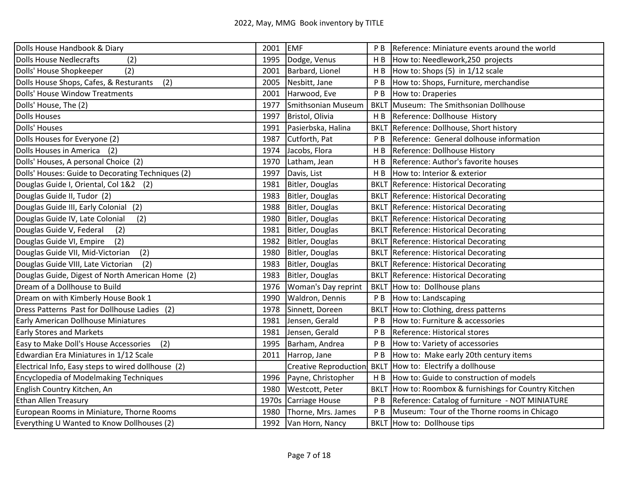| Dolls House Handbook & Diary                       | 2001  | EMF                          | P <sub>B</sub> | Reference: Miniature events around the world      |
|----------------------------------------------------|-------|------------------------------|----------------|---------------------------------------------------|
| <b>Dolls House Nedlecrafts</b><br>(2)              | 1995  | Dodge, Venus                 | H <sub>B</sub> | How to: Needlework, 250 projects                  |
| Dolls' House Shopkeeper<br>(2)                     | 2001  | Barbard, Lionel              |                | $H B$ How to: Shops (5) in 1/12 scale             |
| Dolls House Shops, Cafes, & Resturants<br>(2)      | 2005  | Nesbitt, Jane                | P B            | How to: Shops, Furniture, merchandise             |
| Dolls' House Window Treatments                     | 2001  | Harwood, Eve                 | P B            | How to: Draperies                                 |
| Dolls' House, The (2)                              | 1977  | Smithsonian Museum           |                | BKLT Museum: The Smithsonian Dollhouse            |
| <b>Dolls Houses</b>                                | 1997  | Bristol, Olivia              | H B            | Reference: Dollhouse History                      |
| Dolls' Houses                                      | 1991  | Pasierbska, Halina           | <b>BKLT</b>    | Reference: Dollhouse, Short history               |
| Dolls Houses for Everyone (2)                      | 1987  | Cutforth, Pat                | P B            | Reference: General dolhouse information           |
| Dolls Houses in America (2)                        | 1974  | Jacobs, Flora                | H B            | Reference: Dollhouse History                      |
| Dolls' Houses, A personal Choice (2)               | 1970  | Latham, Jean                 | H <sub>B</sub> | Reference: Author's favorite houses               |
| Dolls' Houses: Guide to Decorating Techniques (2)  | 1997  | Davis, List                  | H B            | How to: Interior & exterior                       |
| Douglas Guide I, Oriental, Col 1&2 (2)             | 1981  | Bitler, Douglas              | <b>BKLT</b>    | Reference: Historical Decorating                  |
| Douglas Guide II, Tudor (2)                        | 1983  | Bitler, Douglas              |                | <b>BKLT</b> Reference: Historical Decorating      |
| Douglas Guide III, Early Colonial (2)              | 1988  | Bitler, Douglas              |                | <b>BKLT Reference: Historical Decorating</b>      |
| (2)<br>Douglas Guide IV, Late Colonial             | 1980  | Bitler, Douglas              |                | <b>BKLT</b> Reference: Historical Decorating      |
| Douglas Guide V, Federal<br>(2)                    | 1981  | Bitler, Douglas              |                | <b>BKLT</b> Reference: Historical Decorating      |
| Douglas Guide VI, Empire<br>(2)                    | 1982  | Bitler, Douglas              |                | <b>BKLT Reference: Historical Decorating</b>      |
| (2)<br>Douglas Guide VII, Mid-Victorian            | 1980  | Bitler, Douglas              |                | <b>BKLT</b> Reference: Historical Decorating      |
| (2)<br>Douglas Guide VIII, Late Victorian          | 1983  | Bitler, Douglas              |                | <b>BKLT</b> Reference: Historical Decorating      |
| Douglas Guide, Digest of North American Home (2)   | 1983  | Bitler, Douglas              |                | <b>BKLT</b> Reference: Historical Decorating      |
| Dream of a Dollhouse to Build                      | 1976  | Woman's Day reprint          |                | BKLT How to: Dollhouse plans                      |
| Dream on with Kimberly House Book 1                | 1990  | Waldron, Dennis              | P B            | How to: Landscaping                               |
| Dress Patterns Past for Dollhouse Ladies (2)       | 1978  | Sinnett, Doreen              |                | BKLT How to: Clothing, dress patterns             |
| Early American Dollhouse Miniatures                | 1981  | Jensen, Gerald               | P B            | How to: Furniture & accessories                   |
| <b>Early Stores and Markets</b>                    | 1981  | Jensen, Gerald               | P B            | Reference: Historical stores                      |
| Easy to Make Doll's House Accessories<br>(2)       | 1995  | Barham, Andrea               | P B            | How to: Variety of accessories                    |
| Edwardian Era Miniatures in 1/12 Scale             | 2011  | Harrop, Jane                 | P B            | How to: Make early 20th century items             |
| Electrical Info, Easy steps to wired dollhouse (2) |       | <b>Creative Reproduction</b> | <b>BKLT</b>    | How to: Electrify a dollhouse                     |
| <b>Encyclopedia of Modelmaking Techniques</b>      | 1996  | Payne, Christopher           | H <sub>B</sub> | How to: Guide to construction of models           |
| English Country Kitchen, An                        | 1980  | Westcott, Peter              | <b>BKLT</b>    | How to: Roombox & furnishings for Country Kitchen |
| <b>Ethan Allen Treasury</b>                        | 1970s | Carriage House               | P <sub>B</sub> | Reference: Catalog of furniture - NOT MINIATURE   |
| European Rooms in Miniature, Thorne Rooms          | 1980  | Thorne, Mrs. James           | P <sub>B</sub> | Museum: Tour of the Thorne rooms in Chicago       |
| Everything U Wanted to Know Dollhouses (2)         | 1992  | Van Horn, Nancy              |                | BKLT How to: Dollhouse tips                       |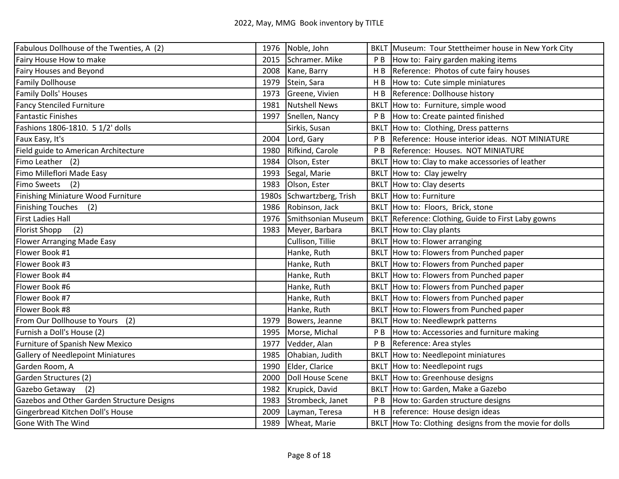| Fabulous Dollhouse of the Twenties, A (2)  |       | 1976 Noble, John          |                | BKLT Museum: Tour Stettheimer house in New York City   |
|--------------------------------------------|-------|---------------------------|----------------|--------------------------------------------------------|
| Fairy House How to make                    | 2015  | Schramer. Mike            | P B            | How to: Fairy garden making items                      |
| Fairy Houses and Beyond                    | 2008  | Kane, Barry               | H <sub>B</sub> | Reference: Photos of cute fairy houses                 |
| <b>Family Dollhouse</b>                    | 1979  | Stein, Sara               | H B            | How to: Cute simple miniatures                         |
| Family Dolls' Houses                       | 1973  | Greene, Vivien            | H <sub>B</sub> | Reference: Dollhouse history                           |
| <b>Fancy Stenciled Furniture</b>           | 1981  | <b>Nutshell News</b>      |                | BKLT How to: Furniture, simple wood                    |
| <b>Fantastic Finishes</b>                  | 1997  | Snellen, Nancy            | P B            | How to: Create painted finished                        |
| Fashions 1806-1810. 5 1/2' dolls           |       | Sirkis, Susan             | <b>BKLT</b>    | How to: Clothing, Dress patterns                       |
| Faux Easy, It's                            | 2004  | Lord, Gary                | P <sub>B</sub> | Reference: House interior ideas. NOT MINIATURE         |
| Field guide to American Architecture       | 1980  | Rifkind, Carole           | P <sub>B</sub> | Reference: Houses. NOT MINIATURE                       |
| Fimo Leather (2)                           | 1984  | Olson, Ester              |                | BKLT How to: Clay to make accessories of leather       |
| Fimo Milleflori Made Easy                  | 1993  | Segal, Marie              |                | BKLT How to: Clay jewelry                              |
| <b>Fimo Sweets</b><br>(2)                  | 1983  | Olson, Ester              |                | <b>BKLT</b> How to: Clay deserts                       |
| Finishing Miniature Wood Furniture         | 1980s | Schwartzberg, Trish       |                | BKLT How to: Furniture                                 |
| Finishing Touches (2)                      | 1986  | Robinson, Jack            |                | BKLT How to: Floors, Brick, stone                      |
| <b>First Ladies Hall</b>                   | 1976  | <b>Smithsonian Museum</b> |                | BKLT Reference: Clothing, Guide to First Laby gowns    |
| <b>Florist Shopp</b><br>(2)                | 1983  | Meyer, Barbara            |                | BKLT How to: Clay plants                               |
| <b>Flower Arranging Made Easy</b>          |       | Cullison, Tillie          |                | BKLT How to: Flower arranging                          |
| Flower Book #1                             |       | Hanke, Ruth               |                | BKLT How to: Flowers from Punched paper                |
| Flower Book #3                             |       | Hanke, Ruth               |                | BKLT How to: Flowers from Punched paper                |
| Flower Book #4                             |       | Hanke, Ruth               |                | BKLT How to: Flowers from Punched paper                |
| Flower Book #6                             |       | Hanke, Ruth               |                | BKLT How to: Flowers from Punched paper                |
| Flower Book #7                             |       | Hanke, Ruth               |                | BKLT How to: Flowers from Punched paper                |
| Flower Book #8                             |       | Hanke, Ruth               |                | BKLT How to: Flowers from Punched paper                |
| From Our Dollhouse to Yours<br>(2)         | 1979  | Bowers, Jeanne            |                | BKLT How to: Needlewprk patterns                       |
| Furnish a Doll's House (2)                 | 1995  | Morse, Michal             | P <sub>B</sub> | How to: Accessories and furniture making               |
| Furniture of Spanish New Mexico            | 1977  | Vedder, Alan              | P <sub>B</sub> | Reference: Area styles                                 |
| <b>Gallery of Needlepoint Miniatures</b>   | 1985  | Ohabian, Judith           | <b>BKLT</b>    | How to: Needlepoint miniatures                         |
| Garden Room, A                             | 1990  | Elder, Clarice            |                | BKLT How to: Needlepoint rugs                          |
| Garden Structures (2)                      | 2000  | <b>Doll House Scene</b>   |                | BKLT How to: Greenhouse designs                        |
| Gazebo Getaway<br>(2)                      | 1982  | Krupick, David            |                | BKLT How to: Garden, Make a Gazebo                     |
| Gazebos and Other Garden Structure Designs | 1983  | Strombeck, Janet          | P B            | How to: Garden structure designs                       |
| Gingerbread Kitchen Doll's House           | 2009  | Layman, Teresa            | H B            | reference: House design ideas                          |
| Gone With The Wind                         | 1989  | Wheat, Marie              |                | BKLT How To: Clothing designs from the movie for dolls |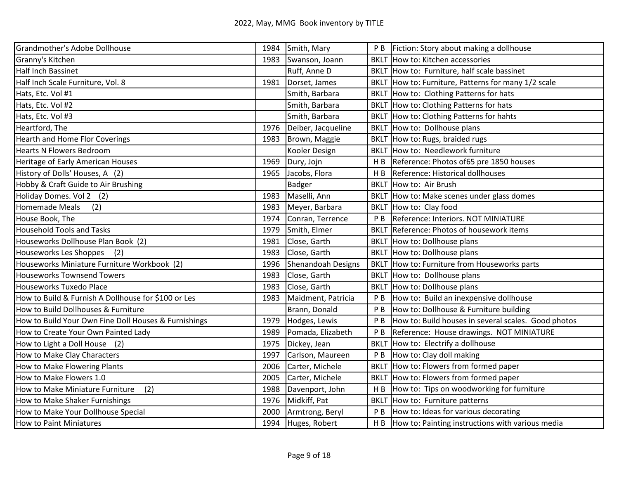| Grandmother's Adobe Dollhouse                        | 1984 | Smith, Mary               |                | P B   Fiction: Story about making a dollhouse           |
|------------------------------------------------------|------|---------------------------|----------------|---------------------------------------------------------|
| Granny's Kitchen                                     | 1983 | Swanson, Joann            |                | BKLT How to: Kitchen accessories                        |
| Half Inch Bassinet                                   |      | Ruff, Anne D              |                | BKLT How to: Furniture, half scale bassinet             |
| Half Inch Scale Furniture, Vol. 8                    | 1981 | Dorset, James             |                | BKLT How to: Furniture, Patterns for many 1/2 scale     |
| Hats, Etc. Vol #1                                    |      | Smith, Barbara            |                | BKLT How to: Clothing Patterns for hats                 |
| Hats, Etc. Vol #2                                    |      | Smith, Barbara            |                | BKLT How to: Clothing Patterns for hats                 |
| Hats, Etc. Vol #3                                    |      | Smith, Barbara            |                | BKLT How to: Clothing Patterns for hahts                |
| Heartford, The                                       | 1976 | Deiber, Jacqueline        |                | BKLT How to: Dollhouse plans                            |
| <b>Hearth and Home Flor Coverings</b>                | 1983 | Brown, Maggie             |                | BKLT How to: Rugs, braided rugs                         |
| <b>Hearts N Flowers Bedroom</b>                      |      | Kooler Design             |                | BKLT How to: Needlework furniture                       |
| Heritage of Early American Houses                    | 1969 | Dury, Jojn                |                | H B Reference: Photos of 65 pre 1850 houses             |
| History of Dolls' Houses, A (2)                      | 1965 | Jacobs, Flora             | H <sub>B</sub> | Reference: Historical dollhouses                        |
| Hobby & Craft Guide to Air Brushing                  |      | Badger                    |                | BKLT How to: Air Brush                                  |
| Holiday Domes. Vol 2 (2)                             | 1983 | Maselli, Ann              |                | BKLT How to: Make scenes under glass domes              |
| Homemade Meals<br>(2)                                | 1983 | Meyer, Barbara            |                | BKLT How to: Clay food                                  |
| House Book, The                                      | 1974 | Conran, Terrence          |                | P B Reference: Interiors. NOT MINIATURE                 |
| <b>Household Tools and Tasks</b>                     | 1979 | Smith, Elmer              |                | BKLT Reference: Photos of housework items               |
| Houseworks Dollhouse Plan Book (2)                   | 1981 | Close, Garth              |                | BKLT How to: Dollhouse plans                            |
| (2)<br>Houseworks Les Shoppes                        | 1983 | Close, Garth              |                | BKLT How to: Dollhouse plans                            |
| Houseworks Miniature Furniture Workbook (2)          | 1996 | <b>Shenandoah Designs</b> |                | BKLT How to: Furniture from Houseworks parts            |
| <b>Houseworks Townsend Towers</b>                    | 1983 | Close, Garth              |                | BKLT How to: Dollhouse plans                            |
| Houseworks Tuxedo Place                              | 1983 | Close, Garth              |                | BKLT How to: Dollhouse plans                            |
| How to Build & Furnish A Dollhouse for \$100 or Les  | 1983 | Maidment, Patricia        | P B            | How to: Build an inexpensive dollhouse                  |
| How to Build Dollhouses & Furniture                  |      | Brann, Donald             |                | P B How to: Dollhouse & Furniture building              |
| How to Build Your Own Fine Doll Houses & Furnishings | 1979 | Hodges, Lewis             | P <sub>B</sub> | How to: Build houses in several scales. Good photos     |
| How to Create Your Own Painted Lady                  | 1989 | Pomada, Elizabeth         | P B            | Reference: House drawings. NOT MINIATURE                |
| How to Light a Doll House<br>(2)                     | 1975 | Dickey, Jean              |                | BKLT How to: Electrify a dollhouse                      |
| How to Make Clay Characters                          | 1997 | Carlson, Maureen          | PB             | How to: Clay doll making                                |
| How to Make Flowering Plants                         | 2006 | Carter, Michele           |                | BKLT How to: Flowers from formed paper                  |
| How to Make Flowers 1.0                              | 2005 | Carter, Michele           |                | BKLT How to: Flowers from formed paper                  |
| (2)<br>How to Make Miniature Furniture               | 1988 | Davenport, John           |                | H B How to: Tips on woodworking for furniture           |
| How to Make Shaker Furnishings                       | 1976 | Midkiff, Pat              |                | BKLT How to: Furniture patterns                         |
| How to Make Your Dollhouse Special                   | 2000 | Armtrong, Beryl           | P B            | How to: Ideas for various decorating                    |
| How to Paint Miniatures                              | 1994 | Huges, Robert             |                | $H B$  How to: Painting instructions with various media |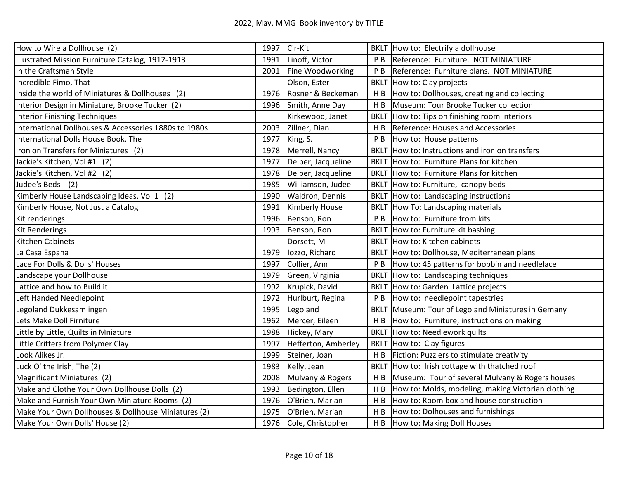| How to Wire a Dollhouse (2)                           | 1997 | Cir-Kit               |                | BKLT How to: Electrify a dollhouse                 |
|-------------------------------------------------------|------|-----------------------|----------------|----------------------------------------------------|
| Illustrated Mission Furniture Catalog, 1912-1913      | 1991 | Linoff, Victor        | P B            | Reference: Furniture. NOT MINIATURE                |
| In the Craftsman Style                                | 2001 | Fine Woodworking      | P B            | Reference: Furniture plans. NOT MINIATURE          |
| Incredible Fimo, That                                 |      | Olson, Ester          |                | BKLT How to: Clay projects                         |
| Inside the world of Miniatures & Dollhouses (2)       | 1976 | Rosner & Beckeman     | H <sub>B</sub> | How to: Dollhouses, creating and collecting        |
| Interior Design in Miniature, Brooke Tucker (2)       | 1996 | Smith, Anne Day       | H B            | Museum: Tour Brooke Tucker collection              |
| Interior Finishing Techniques                         |      | Kirkewood, Janet      | <b>BKLT</b>    | How to: Tips on finishing room interiors           |
| International Dollhouses & Accessories 1880s to 1980s | 2003 | Zillner, Dian         |                | H B Reference: Houses and Accessories              |
| International Dolls House Book, The                   | 1977 | King, S.              | P B            | How to: House patterns                             |
| Iron on Transfers for Miniatures (2)                  | 1978 | Merrell, Nancy        |                | BKLT How to: Instructions and iron on transfers    |
| Jackie's Kitchen, Vol #1 (2)                          | 1977 | Deiber, Jacqueline    |                | BKLT How to: Furniture Plans for kitchen           |
| Jackie's Kitchen, Vol #2 (2)                          | 1978 | Deiber, Jacqueline    |                | BKLT How to: Furniture Plans for kitchen           |
| Judee's Beds (2)                                      | 1985 | Williamson, Judee     |                | BKLT How to: Furniture, canopy beds                |
| Kimberly House Landscaping Ideas, Vol 1 (2)           | 1990 | Waldron, Dennis       |                | BKLT How to: Landscaping instructions              |
| Kimberly House, Not Just a Catalog                    | 1991 | <b>Kimberly House</b> |                | BKLT How To: Landscaping materials                 |
| Kit renderings                                        | 1996 | Benson, Ron           | P <sub>B</sub> | How to: Furniture from kits                        |
| <b>Kit Renderings</b>                                 | 1993 | Benson, Ron           |                | BKLT How to: Furniture kit bashing                 |
| <b>Kitchen Cabinets</b>                               |      | Dorsett, M            |                | <b>BKLT</b> How to: Kitchen cabinets               |
| La Casa Espana                                        | 1979 | lozzo, Richard        |                | BKLT How to: Dollhouse, Mediterranean plans        |
| Lace For Dolls & Dolls' Houses                        | 1997 | Collier, Ann          | P B            | How to: 45 patterns for bobbin and needlelace      |
| Landscape your Dollhouse                              | 1979 | Green, Virginia       |                | BKLT How to: Landscaping techniques                |
| Lattice and how to Build it                           | 1992 | Krupick, David        |                | BKLT How to: Garden Lattice projects               |
| Left Handed Needlepoint                               | 1972 | Hurlburt, Regina      | P B            | How to: needlepoint tapestries                     |
| Legoland Dukkesamlingen                               | 1995 | Legoland              |                | BKLT Museum: Tour of Legoland Miniatures in Gemany |
| Lets Make Doll Firniture                              | 1962 | Mercer, Eileen        | H <sub>B</sub> | How to: Furniture, instructions on making          |
| Little by Little, Quilts in Mniature                  | 1988 | Hickey, Mary          |                | <b>BKLT</b> How to: Needlework quilts              |
| Little Critters from Polymer Clay                     | 1997 | Hefferton, Amberley   | <b>BKLT</b>    | How to: Clay figures                               |
| Look Alikes Jr.                                       | 1999 | Steiner, Joan         | H B            | Fiction: Puzzlers to stimulate creativity          |
| Luck O' the Irish, The (2)                            | 1983 | Kelly, Jean           | <b>BKLT</b>    | How to: Irish cottage with thatched roof           |
| Magnificent Miniatures (2)                            | 2008 | Mulvany & Rogers      | H B            | Museum: Tour of several Mulvany & Rogers houses    |
| Make and Clothe Your Own Dollhouse Dolls (2)          | 1993 | Bedington, Ellen      | H <sub>B</sub> | How to: Molds, modeling, making Victorian clothing |
| Make and Furnish Your Own Miniature Rooms (2)         | 1976 | O'Brien, Marian       | H <sub>B</sub> | How to: Room box and house construction            |
| Make Your Own Dollhouses & Dollhouse Miniatures (2)   | 1975 | O'Brien, Marian       | H <sub>B</sub> | How to: Dolhouses and furnishings                  |
| Make Your Own Dolls' House (2)                        | 1976 | Cole, Christopher     |                | H B  How to: Making Doll Houses                    |
|                                                       |      |                       |                |                                                    |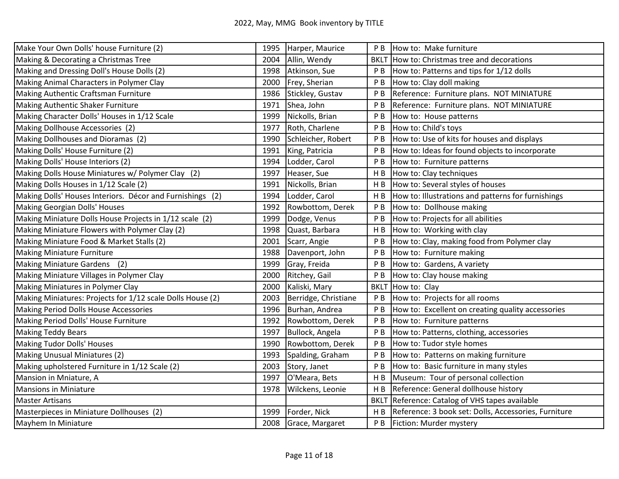| 1995 |                      | P <sub>B</sub>                                                                                                                                                                                                                                                                 | How to: Make furniture                               |
|------|----------------------|--------------------------------------------------------------------------------------------------------------------------------------------------------------------------------------------------------------------------------------------------------------------------------|------------------------------------------------------|
| 2004 |                      | <b>BKLT</b>                                                                                                                                                                                                                                                                    | How to: Christmas tree and decorations               |
| 1998 |                      | P <sub>B</sub>                                                                                                                                                                                                                                                                 | How to: Patterns and tips for 1/12 dolls             |
| 2000 |                      | P <sub>B</sub>                                                                                                                                                                                                                                                                 | How to: Clay doll making                             |
| 1986 |                      | P <sub>B</sub>                                                                                                                                                                                                                                                                 | Reference: Furniture plans. NOT MINIATURE            |
| 1971 | Shea, John           | P <sub>B</sub>                                                                                                                                                                                                                                                                 | Reference: Furniture plans. NOT MINIATURE            |
| 1999 | Nickolls, Brian      | P <sub>B</sub>                                                                                                                                                                                                                                                                 | How to: House patterns                               |
| 1977 | Roth, Charlene       | P <sub>B</sub>                                                                                                                                                                                                                                                                 | How to: Child's toys                                 |
| 1990 |                      | P B                                                                                                                                                                                                                                                                            | How to: Use of kits for houses and displays          |
| 1991 |                      | P <sub>B</sub>                                                                                                                                                                                                                                                                 | How to: Ideas for found objects to incorporate       |
| 1994 | Lodder, Carol        | P <sub>B</sub>                                                                                                                                                                                                                                                                 | How to: Furniture patterns                           |
| 1997 | Heaser, Sue          | H B                                                                                                                                                                                                                                                                            | How to: Clay techniques                              |
| 1991 | Nickolls, Brian      | H <sub>B</sub>                                                                                                                                                                                                                                                                 | How to: Several styles of houses                     |
| 1994 | Lodder, Carol        | H <sub>B</sub>                                                                                                                                                                                                                                                                 | How to: Illustrations and patterns for furnishings   |
| 1992 |                      | P B                                                                                                                                                                                                                                                                            | How to: Dollhouse making                             |
| 1999 |                      | P <sub>B</sub>                                                                                                                                                                                                                                                                 | How to: Projects for all abilities                   |
| 1998 | Quast, Barbara       | H B                                                                                                                                                                                                                                                                            | How to: Working with clay                            |
| 2001 | Scarr, Angie         | P <sub>B</sub>                                                                                                                                                                                                                                                                 | How to: Clay, making food from Polymer clay          |
| 1988 | Davenport, John      | P <sub>B</sub>                                                                                                                                                                                                                                                                 | How to: Furniture making                             |
| 1999 |                      | P B                                                                                                                                                                                                                                                                            | How to: Gardens, A variety                           |
| 2000 |                      | P <sub>B</sub>                                                                                                                                                                                                                                                                 | How to: Clay house making                            |
| 2000 | Kaliski, Mary        | <b>BKLT</b>                                                                                                                                                                                                                                                                    | How to: Clay                                         |
| 2003 | Berridge, Christiane | P B                                                                                                                                                                                                                                                                            | How to: Projects for all rooms                       |
| 1996 |                      | P B                                                                                                                                                                                                                                                                            | How to: Excellent on creating quality accessories    |
| 1992 |                      | P B                                                                                                                                                                                                                                                                            | How to: Furniture patterns                           |
| 1997 |                      | P <sub>B</sub>                                                                                                                                                                                                                                                                 | How to: Patterns, clothing, accessories              |
| 1990 | Rowbottom, Derek     | P B                                                                                                                                                                                                                                                                            | How to: Tudor style homes                            |
| 1993 | Spalding, Graham     | P <sub>B</sub>                                                                                                                                                                                                                                                                 | How to: Patterns on making furniture                 |
| 2003 | Story, Janet         | P <sub>B</sub>                                                                                                                                                                                                                                                                 | How to: Basic furniture in many styles               |
| 1997 | O'Meara, Bets        | H B                                                                                                                                                                                                                                                                            | Museum: Tour of personal collection                  |
| 1978 | Wilckens, Leonie     | HB                                                                                                                                                                                                                                                                             | Reference: General dollhouse history                 |
|      |                      | <b>BKLT</b>                                                                                                                                                                                                                                                                    | Reference: Catalog of VHS tapes available            |
| 1999 | Forder, Nick         | H <sub>B</sub>                                                                                                                                                                                                                                                                 | Reference: 3 book set: Dolls, Accessories, Furniture |
| 2008 |                      | P B                                                                                                                                                                                                                                                                            | Fiction: Murder mystery                              |
|      |                      | Harper, Maurice<br>Allin, Wendy<br>Atkinson, Sue<br>Frey, Sherian<br>Stickley, Gustav<br>Schleicher, Robert<br>King, Patricia<br>Rowbottom, Derek<br>Dodge, Venus<br>Gray, Freida<br>Ritchey, Gail<br>Burhan, Andrea<br>Rowbottom, Derek<br>Bullock, Angela<br>Grace, Margaret |                                                      |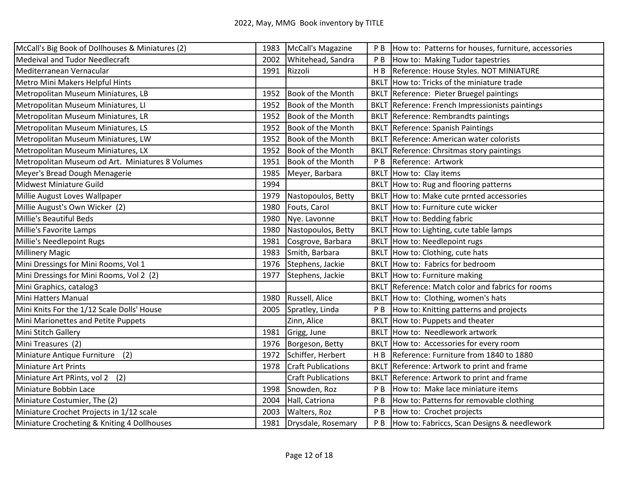| McCall's Big Book of Dollhouses & Miniatures (2) |      | 1983   McCall's Magazine  | P <sub>B</sub> | How to: Patterns for houses, furniture, accessories |
|--------------------------------------------------|------|---------------------------|----------------|-----------------------------------------------------|
| <b>Medeival and Tudor Needlecraft</b>            | 2002 | Whitehead, Sandra         | P <sub>B</sub> | How to: Making Tudor tapestries                     |
| Mediterranean Vernacular                         | 1991 | Rizzoli                   | HB             | Reference: House Styles. NOT MINIATURE              |
| Metro Mini Makers Helpful Hints                  |      |                           |                | BKLT How to: Tricks of the miniature trade          |
| Metropolitan Museum Miniatures, LB               | 1952 | Book of the Month         |                | BKLT Reference: Pieter Bruegel paintings            |
| Metropolitan Museum Miniatures, LI               | 1952 | Book of the Month         |                | BKLT Reference: French Impressionists paintings     |
| Metropolitan Museum Miniatures, LR               | 1952 | <b>Book of the Month</b>  |                | <b>BKLT</b> Reference: Rembrandts paintings         |
| Metropolitan Museum Miniatures, LS               | 1952 | <b>Book of the Month</b>  |                | <b>BKLT</b> Reference: Spanish Paintings            |
| Metropolitan Museum Miniatures, LW               | 1952 | Book of the Month         |                | <b>BKLT</b> Reference: American water colorists     |
| Metropolitan Museum Miniatures, LX               | 1952 | Book of the Month         |                | <b>BKLT</b> Reference: Chrsitmas story paintings    |
| Metropolitan Museum od Art. Miniatures 8 Volumes | 1951 | <b>Book of the Month</b>  | P <sub>B</sub> | Reference: Artwork                                  |
| Meyer's Bread Dough Menagerie                    | 1985 | Meyer, Barbara            |                | BKLT How to: Clay items                             |
| Midwest Miniature Guild                          | 1994 |                           |                | BKLT How to: Rug and flooring patterns              |
| Millie August Loves Wallpaper                    | 1979 | Nastopoulos, Betty        |                | BKLT How to: Make cute prnted accessories           |
| Millie August's Own Wicker (2)                   | 1980 | Fouts, Carol              |                | BKLT How to: Furniture cute wicker                  |
| Millie's Beautiful Beds                          | 1980 | Nye. Lavonne              |                | BKLT How to: Bedding fabric                         |
| Millie's Favorite Lamps                          | 1980 | Nastopoulos, Betty        | <b>BKLT</b>    | How to: Lighting, cute table lamps                  |
| Millie's Needlepoint Rugs                        | 1981 | Cosgrove, Barbara         |                | BKLT How to: Needlepoint rugs                       |
| <b>Millinery Magic</b>                           | 1983 | Smith, Barbara            |                | BKLT How to: Clothing, cute hats                    |
| Mini Dressings for Mini Rooms, Vol 1             | 1976 | Stephens, Jackie          |                | BKLT How to: Fabrics for bedroom                    |
| Mini Dressings for Mini Rooms, Vol 2 (2)         | 1977 | Stephens, Jackie          |                | BKLT How to: Furniture making                       |
| Mini Graphics, catalog3                          |      |                           |                | BKLT Reference: Match color and fabrics for rooms   |
| Mini Hatters Manual                              | 1980 | Russell, Alice            |                | BKLT How to: Clothing, women's hats                 |
| Mini Knits For the 1/12 Scale Dolls' House       | 2005 | Spratley, Linda           | P <sub>B</sub> | How to: Knitting patterns and projects              |
| Mini Marionettes and Petite Puppets              |      | Zinn, Alice               |                | BKLT How to: Puppets and theater                    |
| Mini Stitch Gallery                              | 1981 | Grigg, June               |                | BKLT How to: Needlework artwork                     |
| Mini Treasures (2)                               | 1976 | Borgeson, Betty           | <b>BKLT</b>    | How to: Accessories for every room                  |
| Miniature Antique Furniture<br>(2)               | 1972 | Schiffer, Herbert         | H B            | Reference: Furniture from 1840 to 1880              |
| <b>Miniature Art Prints</b>                      | 1978 | <b>Craft Publications</b> |                | BKLT Reference: Artwork to print and frame          |
| Miniature Art PRints, vol 2<br>(2)               |      | <b>Craft Publications</b> |                | BKLT Reference: Artwork to print and frame          |
| Miniature Bobbin Lace                            | 1998 | Snowden, Roz              | P <sub>B</sub> | How to: Make lace miniature items                   |
| Miniature Costumier, The (2)                     | 2004 | Hall, Catriona            | P <sub>B</sub> | How to: Patterns for removable clothing             |
| Miniature Crochet Projects in 1/12 scale         | 2003 | Walters, Roz              | P <sub>B</sub> | How to: Crochet projects                            |
| Miniature Crocheting & Kniting 4 Dollhouses      | 1981 | Drysdale, Rosemary        | P B            | How to: Fabriccs, Scan Designs & needlework         |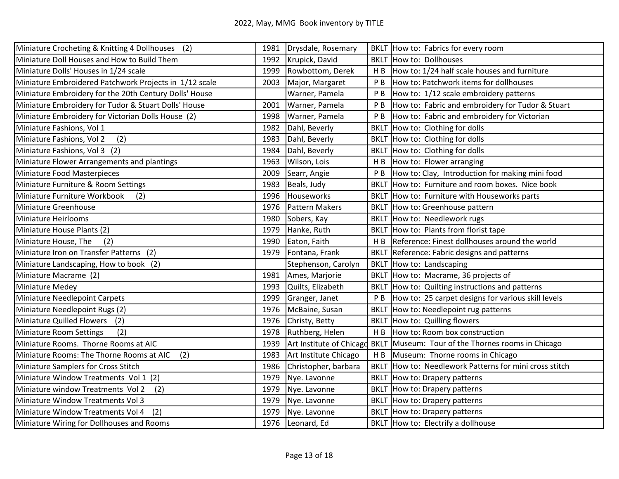| Miniature Crocheting & Knitting 4 Dollhouses (2)       | 1981 | Drysdale, Rosemary       |                | BKLT How to: Fabrics for every room                     |
|--------------------------------------------------------|------|--------------------------|----------------|---------------------------------------------------------|
| Miniature Doll Houses and How to Build Them            | 1992 | Krupick, David           |                | <b>BKLT</b> How to: Dollhouses                          |
| Miniature Dolls' Houses in 1/24 scale                  | 1999 | Rowbottom, Derek         | H B            | How to: 1/24 half scale houses and furniture            |
| Miniature Embroidered Patchwork Projects in 1/12 scale | 2003 | Major, Margaret          | P <sub>B</sub> | How to: Patchwork items for dollhouses                  |
| Miniature Embroidery for the 20th Century Dolls' House |      | Warner, Pamela           | P B            | How to: 1/12 scale embroidery patterns                  |
| Miniature Embroidery for Tudor & Stuart Dolls' House   | 2001 | Warner, Pamela           | P <sub>B</sub> | How to: Fabric and embroidery for Tudor & Stuart        |
| Miniature Embroidery for Victorian Dolls House (2)     | 1998 | Warner, Pamela           | P <sub>B</sub> | How to: Fabric and embroidery for Victorian             |
| Miniature Fashions, Vol 1                              | 1982 | Dahl, Beverly            |                | BKLT How to: Clothing for dolls                         |
| (2)<br>Miniature Fashions, Vol 2                       | 1983 | Dahl, Beverly            |                | BKLT How to: Clothing for dolls                         |
| Miniature Fashions, Vol 3 (2)                          | 1984 | Dahl, Beverly            |                | BKLT How to: Clothing for dolls                         |
| Miniature Flower Arrangements and plantings            | 1963 | Wilson, Lois             | H <sub>B</sub> | How to: Flower arranging                                |
| Miniature Food Masterpieces                            | 2009 | Searr, Angie             | P B            | How to: Clay, Introduction for making mini food         |
| Miniature Furniture & Room Settings                    | 1983 | Beals, Judy              |                | BKLT How to: Furniture and room boxes. Nice book        |
| Miniature Furniture Workbook<br>(2)                    | 1996 | Houseworks               |                | BKLT How to: Furniture with Houseworks parts            |
| Miniature Greenhouse                                   | 1976 | <b>Pattern Makers</b>    |                | BKLT How to: Greenhouse pattern                         |
| Miniature Heirlooms                                    | 1980 | Sobers, Kay              |                | BKLT How to: Needlework rugs                            |
| Miniature House Plants (2)                             | 1979 | Hanke, Ruth              |                | BKLT How to: Plants from florist tape                   |
| Miniature House, The<br>(2)                            | 1990 | Eaton, Faith             |                | H B Reference: Finest dollhouses around the world       |
| Miniature Iron on Transfer Patterns (2)                | 1979 | Fontana, Frank           |                | BKLT Reference: Fabric designs and patterns             |
| Miniature Landscaping, How to book (2)                 |      | Stephenson, Carolyn      |                | BKLT How to: Landscaping                                |
| Miniature Macrame (2)                                  | 1981 | Ames, Marjorie           |                | BKLT How to: Macrame, 36 projects of                    |
| <b>Miniature Medey</b>                                 | 1993 | Quilts, Elizabeth        |                | BKLT How to: Quilting instructions and patterns         |
| Miniature Needlepoint Carpets                          | 1999 | Granger, Janet           |                | P B  How to: 25 carpet designs for various skill levels |
| Miniature Needlepoint Rugs (2)                         | 1976 | McBaine, Susan           |                | BKLT How to: Needlepoint rug patterns                   |
| Miniature Quilled Flowers<br>(2)                       | 1976 | Christy, Betty           |                | BKLT How to: Quilling flowers                           |
| <b>Miniature Room Settings</b><br>(2)                  | 1978 | Ruthberg, Helen          | H B            | How to: Room box construction                           |
| Miniature Rooms. Thorne Rooms at AIC                   | 1939 | Art Institute of Chicago |                | BKLT Museum: Tour of the Thornes rooms in Chicago       |
| Miniature Rooms: The Thorne Rooms at AIC<br>(2)        | 1983 | Art Institute Chicago    |                | H B Museum: Thorne rooms in Chicago                     |
| Miniature Samplers for Cross Stitch                    | 1986 | Christopher, barbara     |                | BKLT How to: Needlework Patterns for mini cross stitch  |
| Miniature Window Treatments Vol 1 (2)                  | 1979 | Nye. Lavonne             |                | BKLT How to: Drapery patterns                           |
| Miniature window Treatments Vol 2<br>(2)               | 1979 | Nye. Lavonne             |                | BKLT How to: Drapery patterns                           |
| Miniature Window Treatments Vol 3                      | 1979 | Nye. Lavonne             |                | BKLT How to: Drapery patterns                           |
| Miniature Window Treatments Vol 4<br>(2)               | 1979 | Nye. Lavonne             |                | BKLT How to: Drapery patterns                           |
| Miniature Wiring for Dollhouses and Rooms              | 1976 | Leonard, Ed              |                | BKLT How to: Electrify a dollhouse                      |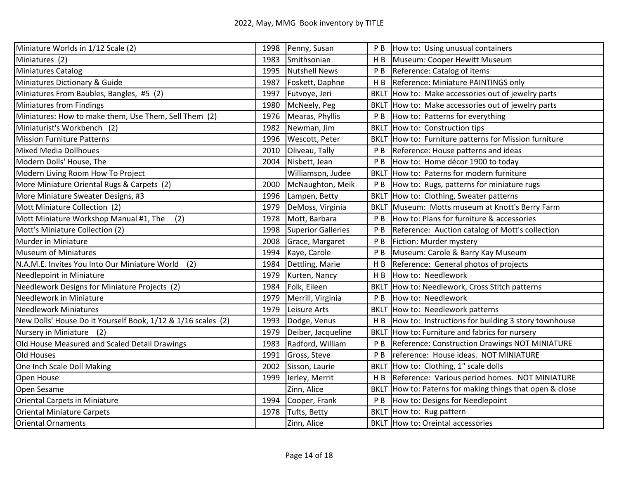| Miniature Worlds in 1/12 Scale (2)                           | 1998 | Penny, Susan         |                | P B  How to: Using unusual containers                 |
|--------------------------------------------------------------|------|----------------------|----------------|-------------------------------------------------------|
| Miniatures (2)                                               | 1983 | Smithsonian          | H <sub>B</sub> | Museum: Cooper Hewitt Museum                          |
| Miniatures Catalog                                           | 1995 | <b>Nutshell News</b> |                | P B   Reference: Catalog of items                     |
| Miniatures Dictionary & Guide                                | 1987 | Foskett, Daphne      | H B            | Reference: Miniature PAINTINGS only                   |
| Miniatures From Baubles, Bangles, #5 (2)                     | 1997 | Futvoye, Jeri        |                | BKLT How to: Make accessories out of jewelry parts    |
| <b>Miniatures from Findings</b>                              | 1980 | McNeely, Peg         |                | BKLT How to: Make accessories out of jewelry parts    |
| Miniatures: How to make them, Use Them, Sell Them (2)        | 1976 | Mearas, Phyllis      | P B            | How to: Patterns for everything                       |
| Miniaturist's Workbench (2)                                  | 1982 | Newman, Jim          | <b>BKLT</b>    | How to: Construction tips                             |
| <b>Mission Furniture Patterns</b>                            | 1996 | Wescott, Peter       |                | BKLT How to: Furniture patterns for Mission furniture |
| <b>Mixed Media Dollhoues</b>                                 | 2010 | Oliveau, Tally       | P B            | Reference: House patterns and ideas                   |
| Modern Dolls' House, The                                     | 2004 | Nisbett, Jean        | P B            | How to: Home décor 1900 to today                      |
| Modern Living Room How To Project                            |      | Williamson, Judee    | <b>BKLT</b>    | How to: Paterns for modern furniture                  |
| More Miniature Oriental Rugs & Carpets (2)                   | 2000 | McNaughton, Meik     |                | P B  How to: Rugs, patterns for miniature rugs        |
| More Miniature Sweater Designs, #3                           | 1996 | Lampen, Betty        | <b>BKLT</b>    | How to: Clothing, Sweater patterns                    |
| Mott Miniature Collection (2)                                | 1979 | DeMoss, Virginia     |                | BKLT Museum: Motts museum at Knott's Berry Farm       |
| Mott Miniature Workshop Manual #1, The<br>(2)                | 1978 | Mott, Barbara        | P B            | How to: Plans for furniture & accessories             |
| Mott's Miniature Collection (2)                              | 1998 | Superior Galleries   | P B            | Reference: Auction catalog of Mott's collection       |
| Murder in Miniature                                          | 2008 | Grace, Margaret      | P B            | Fiction: Murder mystery                               |
| Museum of Miniatures                                         | 1994 | Kaye, Carole         | P B            | Museum: Carole & Barry Kay Museum                     |
| (2)<br>N.A.M.E. Invites You Into Our Miniature World         | 1984 | Dettling, Marie      |                | H B Reference: General photos of projects             |
| Needlepoint in Miniature                                     | 1979 | Kurten, Nancy        | H B            | How to: Needlework                                    |
| Needlework Designs for Miniature Projects (2)                | 1984 | Folk, Eileen         | <b>BKLT</b>    | How to: Needlework, Cross Stitch patterns             |
| Needlework in Miniature                                      | 1979 | Merrill, Virginia    | P B            | How to: Needlework                                    |
| <b>Needlework Miniatures</b>                                 | 1979 | Leisure Arts         |                | BKLT How to: Needlework patterns                      |
| New Dolls' House Do it Yourself Book, 1/12 & 1/16 scales (2) | 1993 | Dodge, Venus         | H B            | How to: Instructions for building 3 story townhouse   |
| Nursery in Miniature<br>(2)                                  | 1979 | Deiber, Jacqueline   |                | BKLT How to: Furniture and fabrics for nursery        |
| Old House Measured and Scaled Detail Drawings                | 1983 | Radford, William     | P B            | Reference: Construction Drawings NOT MINIATURE        |
| Old Houses                                                   | 1991 | Gross, Steve         | P <sub>B</sub> | reference: House ideas. NOT MINIATURE                 |
| One Inch Scale Doll Making                                   | 2002 | Sisson, Laurie       | <b>BKLT</b>    | How to: Clothing, 1" scale dolls                      |
| Open House                                                   | 1999 | lerley, Merrit       | H B            | Reference: Various period homes. NOT MINIATURE        |
| Open Sesame                                                  |      | Zinn, Alice          | <b>BKLT</b>    | How to: Paterns for making things that open & close   |
| <b>Oriental Carpets in Miniature</b>                         | 1994 | Cooper, Frank        | P <sub>B</sub> | How to: Designs for Needlepoint                       |
| <b>Oriental Miniature Carpets</b>                            | 1978 | Tufts, Betty         | <b>BKLT</b>    | How to: Rug pattern                                   |
| Oriental Ornaments                                           |      | Zinn, Alice          |                | <b>BKLT</b> How to: Oreintal accessories              |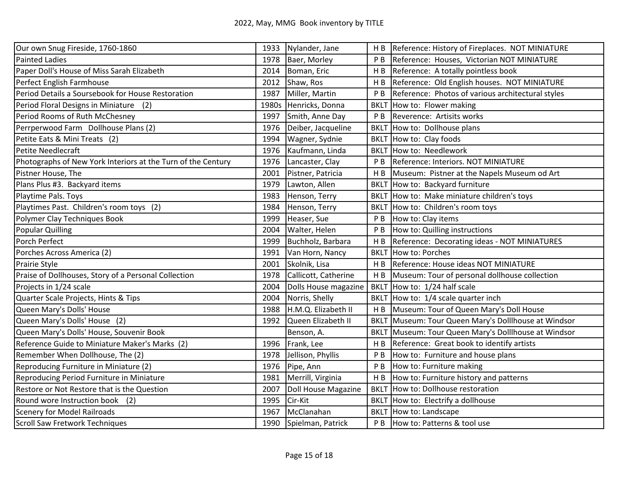| Our own Snug Fireside, 1760-1860                             |       | 1933 Nylander, Jane    | H B            | Reference: History of Fireplaces. NOT MINIATURE   |
|--------------------------------------------------------------|-------|------------------------|----------------|---------------------------------------------------|
| <b>Painted Ladies</b>                                        | 1978  | Baer, Morley           | P B            | Reference: Houses, Victorian NOT MINIATURE        |
| Paper Doll's House of Miss Sarah Elizabeth                   | 2014  | Boman, Eric            | H <sub>B</sub> | Reference: A totally pointless book               |
| Perfect English Farmhouse                                    | 2012  | Shaw, Ros              | H B            | Reference: Old English houses. NOT MINIATURE      |
| Period Details a Soursebook for House Restoration            | 1987  | Miller, Martin         | P B            | Reference: Photos of various architectural styles |
| Period Floral Designs in Miniature (2)                       | 1980s | Henricks, Donna        | <b>BKLT</b>    | How to: Flower making                             |
| Period Rooms of Ruth McChesney                               | 1997  | Smith, Anne Day        | P B            | Reverence: Artisits works                         |
| Perrperwood Farm Dollhouse Plans (2)                         | 1976  | Deiber, Jacqueline     | <b>BKLT</b>    | How to: Dollhouse plans                           |
| Petite Eats & Mini Treats (2)                                | 1994  | Wagner, Sydnie         | <b>BKLT</b>    | How to: Clay foods                                |
| Petite Needlecraft                                           | 1976  | Kaufmann, Linda        |                | <b>BKLT</b> How to: Needlework                    |
| Photographs of New York Interiors at the Turn of the Century | 1976  | Lancaster, Clay        | P <sub>B</sub> | Reference: Interiors. NOT MINIATURE               |
| Pistner House, The                                           | 2001  | Pistner, Patricia      | H B            | Museum: Pistner at the Napels Museum od Art       |
| Plans Plus #3. Backyard items                                | 1979  | Lawton, Allen          | <b>BKLT</b>    | How to: Backyard furniture                        |
| Playtime Pals. Toys                                          | 1983  | Henson, Terry          | <b>BKLT</b>    | How to: Make miniature children's toys            |
| Playtimes Past. Children's room toys (2)                     | 1984  | Henson, Terry          |                | BKLT How to: Children's room toys                 |
| Polymer Clay Techniques Book                                 | 1999  | Heaser, Sue            | P <sub>B</sub> | How to: Clay items                                |
| Popular Quilling                                             | 2004  | Walter, Helen          | P B            | How to: Quilling instructions                     |
| Porch Perfect                                                | 1999  | Buchholz, Barbara      | H B            | Reference: Decorating ideas - NOT MINIATURES      |
| Porches Across America (2)                                   | 1991  | Van Horn, Nancy        | <b>BKLT</b>    | How to: Porches                                   |
| Prairie Style                                                | 2001  | Skolnik, Lisa          | H B            | Reference: House ideas NOT MINIATURE              |
| Praise of Dollhouses, Story of a Personal Collection         | 1978  | Callicott, Catherine   | H B            | Museum: Tour of personal dollhouse collection     |
| Projects in 1/24 scale                                       | 2004  | Dolls House magazine   | <b>BKLT</b>    | How to: 1/24 half scale                           |
| Quarter Scale Projects, Hints & Tips                         | 2004  | Norris, Shelly         | <b>BKLT</b>    | How to: 1/4 scale quarter inch                    |
| Queen Mary's Dolls' House                                    | 1988  | H.M.Q. Elizabeth II    | H <sub>B</sub> | Museum: Tour of Queen Mary's Doll House           |
| Queen Mary's Dolls' House (2)                                | 1992  | Queen Elizabeth II     | <b>BKLT</b>    | Museum: Tour Queen Mary's Dolllhouse at Windsor   |
| Queen Mary's Dolls' House, Souvenir Book                     |       | Benson, A.             | <b>BKLT</b>    | Museum: Tour Queen Mary's Dolllhouse at Windsor   |
| Reference Guide to Miniature Maker's Marks (2)               | 1996  | Frank, Lee             | H B            | Reference: Great book to identify artists         |
| Remember When Dollhouse, The (2)                             | 1978  | Jellison, Phyllis      | P B            | How to: Furniture and house plans                 |
| Reproducing Furniture in Miniature (2)                       | 1976  | Pipe, Ann              | P <sub>B</sub> | How to: Furniture making                          |
| Reproducing Period Furniture in Miniature                    | 1981  | Merrill, Virginia      | H B            | How to: Furniture history and patterns            |
| Restore or Not Restore that is the Question                  | 2007  | Doll House Magazine    |                | BKLT How to: Dollhouse restoration                |
| Round wore Instruction book (2)                              | 1995  | Cir-Kit                | <b>BKLT</b>    | How to: Electrify a dollhouse                     |
| <b>Scenery for Model Railroads</b>                           | 1967  | McClanahan             | <b>BKLT</b>    | How to: Landscape                                 |
| Scroll Saw Fretwork Techniques                               |       | 1990 Spielman, Patrick | P B            | How to: Patterns & tool use                       |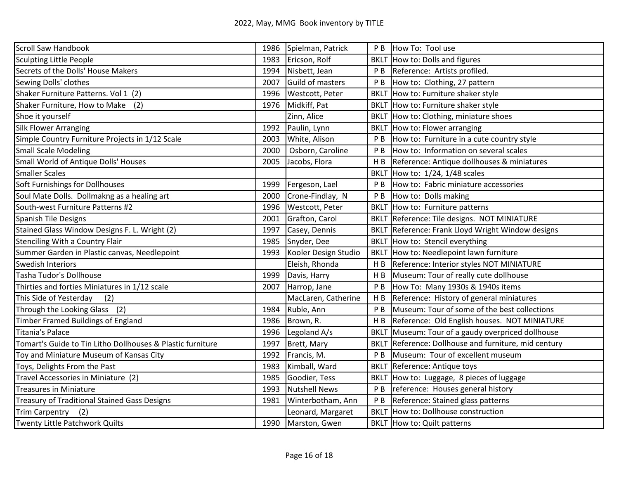| Scroll Saw Handbook                                        | 1986 | Spielman, Patrick    | P <sub>B</sub> | How To: Tool use                                |
|------------------------------------------------------------|------|----------------------|----------------|-------------------------------------------------|
| Sculpting Little People                                    | 1983 | Ericson, Rolf        |                | BKLT How to: Dolls and figures                  |
| Secrets of the Dolls' House Makers                         | 1994 | Nisbett, Jean        | P B            | Reference: Artists profiled.                    |
| Sewing Dolls' clothes                                      | 2007 | Guild of masters     | P B            | How to: Clothing, 27 pattern                    |
| Shaker Furniture Patterns. Vol 1 (2)                       | 1996 | Westcott, Peter      | <b>BKLT</b>    | How to: Furniture shaker style                  |
| Shaker Furniture, How to Make (2)                          | 1976 | Midkiff, Pat         |                | BKLT How to: Furniture shaker style             |
| Shoe it yourself                                           |      | Zinn, Alice          | <b>BKLT</b>    | How to: Clothing, miniature shoes               |
| <b>Silk Flower Arranging</b>                               | 1992 | Paulin, Lynn         |                | BKLT How to: Flower arranging                   |
| Simple Country Furniture Projects in 1/12 Scale            | 2003 | White, Alison        | P B            | How to: Furniture in a cute country style       |
| <b>Small Scale Modeling</b>                                | 2000 | Osborn, Caroline     | P <sub>B</sub> | How to: Information on several scales           |
| Small World of Antique Dolls' Houses                       | 2005 | Jacobs, Flora        | H <sub>B</sub> | Reference: Antique dollhouses & miniatures      |
| <b>Smaller Scales</b>                                      |      |                      | <b>BKLT</b>    | How to: 1/24, 1/48 scales                       |
| Soft Furnishings for Dollhouses                            | 1999 | Fergeson, Lael       | P B            | How to: Fabric miniature accessories            |
| Soul Mate Dolls. Dollmakng as a healing art                | 2000 | Crone-Findlay, N     | P <sub>B</sub> | How to: Dolls making                            |
| South-west Furniture Patterns #2                           | 1996 | Westcott, Peter      |                | BKLT How to: Furniture patterns                 |
| <b>Spanish Tile Designs</b>                                | 2001 | Grafton, Carol       |                | BKLT Reference: Tile designs. NOT MINIATURE     |
| Stained Glass Window Designs F. L. Wright (2)              | 1997 | Casey, Dennis        | <b>BKLT</b>    | Reference: Frank Lloyd Wright Window designs    |
| <b>Stenciling With a Country Flair</b>                     | 1985 | Snyder, Dee          |                | BKLT How to: Stencil everything                 |
| Summer Garden in Plastic canvas, Needlepoint               | 1993 | Kooler Design Studio |                | BKLT How to: Needlepoint lawn furniture         |
| Swedish Interiors                                          |      | Eleish, Rhonda       | H <sub>B</sub> | Reference: Interior styles NOT MINIATURE        |
| Tasha Tudor's Dollhouse                                    | 1999 | Davis, Harry         | H B            | Museum: Tour of really cute dollhouse           |
| Thirties and forties Miniatures in 1/12 scale              | 2007 | Harrop, Jane         | P B            | How To: Many 1930s & 1940s items                |
| This Side of Yesterday<br>(2)                              |      | MacLaren, Catherine  | HB             | Reference: History of general miniatures        |
| Through the Looking Glass (2)                              | 1984 | Ruble, Ann           | P <sub>B</sub> | Museum: Tour of some of the best collections    |
| Timber Framed Buildings of England                         | 1986 | Brown, R.            | H <sub>B</sub> | Reference: Old English houses. NOT MINIATURE    |
| <b>Titania's Palace</b>                                    | 1996 | Legoland A/s         | <b>BKLT</b>    | Museum: Tour of a gaudy overpriced dollhouse    |
| Tomart's Guide to Tin Litho Dollhouses & Plastic furniture | 1997 | Brett, Mary          | <b>BKLT</b>    | Reference: Dollhouse and furniture, mid century |
| Toy and Miniature Museum of Kansas City                    | 1992 | Francis, M.          | P B            | Museum: Tour of excellent museum                |
| Toys, Delights From the Past                               | 1983 | Kimball, Ward        |                | <b>BKLT</b> Reference: Antique toys             |
| Travel Accessories in Miniature (2)                        | 1985 | Goodier, Tess        |                | BKLT How to: Luggage, 8 pieces of luggage       |
| <b>Treasures in Miniature</b>                              | 1993 | <b>Nutshell News</b> | P B            | reference: Houses general history               |
| Treasury of Traditional Stained Gass Designs               | 1981 | Winterbotham, Ann    | P <sub>B</sub> | Reference: Stained glass patterns               |
| <b>Trim Carpentry</b><br>(2)                               |      | Leonard, Margaret    | <b>BKLT</b>    | How to: Dollhouse construction                  |
| Twenty Little Patchwork Quilts                             | 1990 | Marston, Gwen        |                | BKLT How to: Quilt patterns                     |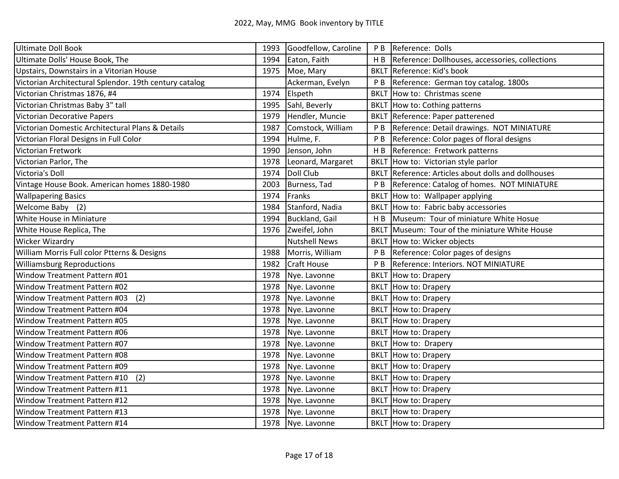| <b>Ultimate Doll Book</b>                              | 1993 | Goodfellow, Caroline  | P <sub>B</sub> | Reference: Dolls                                           |
|--------------------------------------------------------|------|-----------------------|----------------|------------------------------------------------------------|
| Ultimate Dolls' House Book, The                        | 1994 | Eaton, Faith          | HB             | Reference: Dollhouses, accessories, collections            |
| Upstairs, Downstairs in a Vitorian House               | 1975 | Moe, Mary             |                | BKLT Reference: Kid's book                                 |
| Victorian Architectural Splendor. 19th century catalog |      | Ackerman, Evelyn      | P <sub>B</sub> | Reference: German toy catalog. 1800s                       |
| Victorian Christmas 1876, #4                           | 1974 | Elspeth               | <b>BKLT</b>    | How to: Christmas scene                                    |
| Victorian Christmas Baby 3" tall                       | 1995 | Sahl, Beverly         | <b>BKLT</b>    | How to: Cothing patterns                                   |
| Victorian Decorative Papers                            | 1979 | Hendler, Muncie       | <b>BKLT</b>    | Reference: Paper patterened                                |
| Victorian Domestic Architectural Plans & Details       | 1987 | Comstock, William     | P <sub>B</sub> | Reference: Detail drawings. NOT MINIATURE                  |
| Victorian Floral Designs in Full Color                 | 1994 | Hulme, F.             | P <sub>B</sub> | Reference: Color pages of floral designs                   |
| Victorian Fretwork                                     | 1990 | Jenson, John          | H <sub>B</sub> | Reference: Fretwork patterns                               |
| Victorian Parlor, The                                  | 1978 | Leonard, Margaret     | <b>BKLT</b>    | How to: Victorian style parlor                             |
| Victoria's Doll                                        | 1974 | Doll Club             |                | <b>BKLT</b> Reference: Articles about dolls and dollhouses |
| Vintage House Book. American homes 1880-1980           | 2003 | Burness, Tad          | P <sub>B</sub> | Reference: Catalog of homes. NOT MINIATURE                 |
| <b>Wallpapering Basics</b>                             | 1974 | Franks                |                | BKLT How to: Wallpaper applying                            |
| Welcome Baby (2)                                       | 1984 | Stanford, Nadia       |                | BKLT How to: Fabric baby accessories                       |
| White House in Miniature                               | 1994 | <b>Buckland, Gail</b> | H <sub>B</sub> | Museum: Tour of miniature White Hosue                      |
| White House Replica, The                               | 1976 | Zweifel, John         | <b>BKLT</b>    | Museum: Tour of the miniature White House                  |
| <b>Wicker Wizardry</b>                                 |      | <b>Nutshell News</b>  |                | BKLT How to: Wicker objects                                |
| William Morris Full color Ptterns & Designs            | 1988 | Morris, William       | P <sub>B</sub> | Reference: Color pages of designs                          |
| <b>Williamsburg Reproductions</b>                      | 1982 | <b>Craft House</b>    | P <sub>B</sub> | Reference: Interiors. NOT MINIATURE                        |
| Window Treatment Pattern #01                           | 1978 | Nye. Lavonne          |                | <b>BKLT</b> How to: Drapery                                |
| Window Treatment Pattern #02                           | 1978 | Nye. Lavonne          |                | BKLT How to: Drapery                                       |
| Window Treatment Pattern #03<br>(2)                    | 1978 | Nye. Lavonne          |                | BKLT How to: Drapery                                       |
| Window Treatment Pattern #04                           | 1978 | Nye. Lavonne          |                | <b>BKLT</b> How to: Drapery                                |
| Window Treatment Pattern #05                           | 1978 | Nye. Lavonne          |                | <b>BKLT</b> How to: Drapery                                |
| Window Treatment Pattern #06                           | 1978 | Nye. Lavonne          |                | BKLT How to: Drapery                                       |
| Window Treatment Pattern #07                           | 1978 | Nye. Lavonne          |                | BKLT How to: Drapery                                       |
| Window Treatment Pattern #08                           | 1978 | Nye. Lavonne          |                | <b>BKLT</b> How to: Drapery                                |
| Window Treatment Pattern #09                           | 1978 | Nye. Lavonne          |                | <b>BKLT</b> How to: Drapery                                |
| (2)<br>Window Treatment Pattern #10                    | 1978 | Nye. Lavonne          |                | BKLT How to: Drapery                                       |
| Window Treatment Pattern #11                           | 1978 | Nye. Lavonne          |                | <b>BKLT</b> How to: Drapery                                |
| Window Treatment Pattern #12                           | 1978 | Nye. Lavonne          |                | <b>BKLT</b> How to: Drapery                                |
| Window Treatment Pattern #13                           | 1978 | Nye. Lavonne          |                | <b>BKLT</b> How to: Drapery                                |
| Window Treatment Pattern #14                           | 1978 | Nye. Lavonne          |                | <b>BKLT</b> How to: Drapery                                |